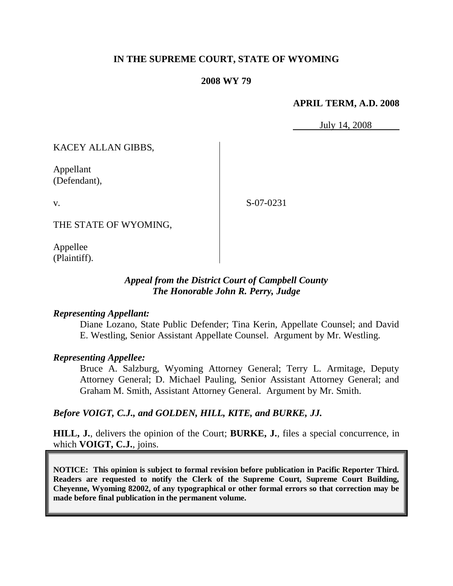# **IN THE SUPREME COURT, STATE OF WYOMING**

### **2008 WY 79**

### **APRIL TERM, A.D. 2008**

July 14, 2008

KACEY ALLAN GIBBS,

Appellant (Defendant),

v.

S-07-0231

THE STATE OF WYOMING,

Appellee (Plaintiff).

# *Appeal from the District Court of Campbell County The Honorable John R. Perry, Judge*

#### *Representing Appellant:*

Diane Lozano, State Public Defender; Tina Kerin, Appellate Counsel; and David E. Westling, Senior Assistant Appellate Counsel. Argument by Mr. Westling.

#### *Representing Appellee:*

Bruce A. Salzburg, Wyoming Attorney General; Terry L. Armitage, Deputy Attorney General; D. Michael Pauling, Senior Assistant Attorney General; and Graham M. Smith, Assistant Attorney General. Argument by Mr. Smith.

## *Before VOIGT, C.J., and GOLDEN, HILL, KITE, and BURKE, JJ.*

**HILL, J.**, delivers the opinion of the Court; **BURKE, J.**, files a special concurrence, in which **VOIGT, C.J.**, joins.

**NOTICE: This opinion is subject to formal revision before publication in Pacific Reporter Third. Readers are requested to notify the Clerk of the Supreme Court, Supreme Court Building, Cheyenne, Wyoming 82002, of any typographical or other formal errors so that correction may be made before final publication in the permanent volume.**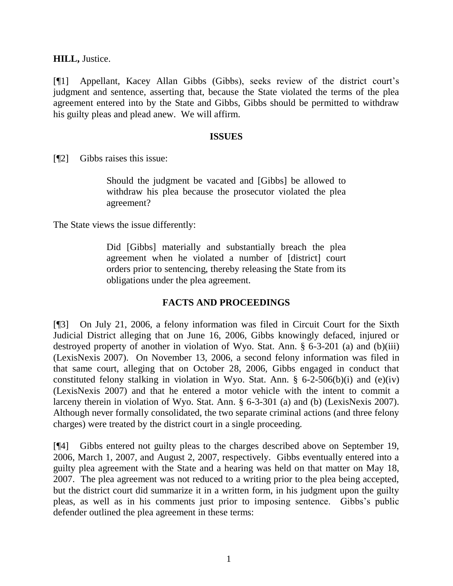**HILL,** Justice.

[¶1] Appellant, Kacey Allan Gibbs (Gibbs), seeks review of the district court"s judgment and sentence, asserting that, because the State violated the terms of the plea agreement entered into by the State and Gibbs, Gibbs should be permitted to withdraw his guilty pleas and plead anew. We will affirm.

#### **ISSUES**

[¶2] Gibbs raises this issue:

Should the judgment be vacated and [Gibbs] be allowed to withdraw his plea because the prosecutor violated the plea agreement?

The State views the issue differently:

Did [Gibbs] materially and substantially breach the plea agreement when he violated a number of [district] court orders prior to sentencing, thereby releasing the State from its obligations under the plea agreement.

## **FACTS AND PROCEEDINGS**

[¶3] On July 21, 2006, a felony information was filed in Circuit Court for the Sixth Judicial District alleging that on June 16, 2006, Gibbs knowingly defaced, injured or destroyed property of another in violation of Wyo. Stat. Ann. § 6-3-201 (a) and (b)(iii) (LexisNexis 2007). On November 13, 2006, a second felony information was filed in that same court, alleging that on October 28, 2006, Gibbs engaged in conduct that constituted felony stalking in violation in Wyo. Stat. Ann.  $\S$  6-2-506(b)(i) and (e)(iv) (LexisNexis 2007) and that he entered a motor vehicle with the intent to commit a larceny therein in violation of Wyo. Stat. Ann. § 6-3-301 (a) and (b) (LexisNexis 2007). Although never formally consolidated, the two separate criminal actions (and three felony charges) were treated by the district court in a single proceeding.

[¶4] Gibbs entered not guilty pleas to the charges described above on September 19, 2006, March 1, 2007, and August 2, 2007, respectively. Gibbs eventually entered into a guilty plea agreement with the State and a hearing was held on that matter on May 18, 2007. The plea agreement was not reduced to a writing prior to the plea being accepted, but the district court did summarize it in a written form, in his judgment upon the guilty pleas, as well as in his comments just prior to imposing sentence. Gibbs"s public defender outlined the plea agreement in these terms: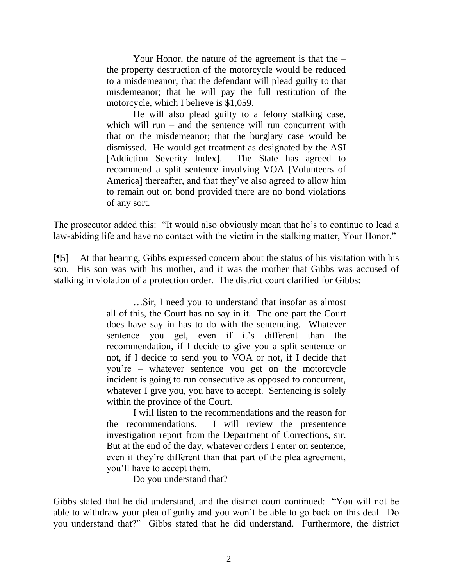Your Honor, the nature of the agreement is that the – the property destruction of the motorcycle would be reduced to a misdemeanor; that the defendant will plead guilty to that misdemeanor; that he will pay the full restitution of the motorcycle, which I believe is \$1,059.

He will also plead guilty to a felony stalking case, which will run – and the sentence will run concurrent with that on the misdemeanor; that the burglary case would be dismissed. He would get treatment as designated by the ASI [Addiction Severity Index]. The State has agreed to recommend a split sentence involving VOA [Volunteers of America] thereafter, and that they've also agreed to allow him to remain out on bond provided there are no bond violations of any sort.

The prosecutor added this: "It would also obviously mean that he's to continue to lead a law-abiding life and have no contact with the victim in the stalking matter, Your Honor."

[¶5] At that hearing, Gibbs expressed concern about the status of his visitation with his son. His son was with his mother, and it was the mother that Gibbs was accused of stalking in violation of a protection order. The district court clarified for Gibbs:

> …Sir, I need you to understand that insofar as almost all of this, the Court has no say in it. The one part the Court does have say in has to do with the sentencing. Whatever sentence you get, even if it's different than the recommendation, if I decide to give you a split sentence or not, if I decide to send you to VOA or not, if I decide that you"re – whatever sentence you get on the motorcycle incident is going to run consecutive as opposed to concurrent, whatever I give you, you have to accept. Sentencing is solely within the province of the Court.

> I will listen to the recommendations and the reason for the recommendations. I will review the presentence investigation report from the Department of Corrections, sir. But at the end of the day, whatever orders I enter on sentence, even if they're different than that part of the plea agreement, you"ll have to accept them.

> > Do you understand that?

Gibbs stated that he did understand, and the district court continued: "You will not be able to withdraw your plea of guilty and you won"t be able to go back on this deal. Do you understand that?" Gibbs stated that he did understand. Furthermore, the district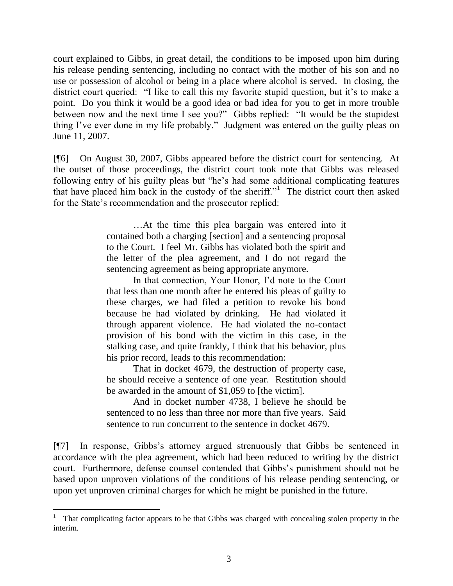court explained to Gibbs, in great detail, the conditions to be imposed upon him during his release pending sentencing, including no contact with the mother of his son and no use or possession of alcohol or being in a place where alcohol is served. In closing, the district court queried: "I like to call this my favorite stupid question, but it's to make a point. Do you think it would be a good idea or bad idea for you to get in more trouble between now and the next time I see you?" Gibbs replied: "It would be the stupidest thing I've ever done in my life probably." Judgment was entered on the guilty pleas on June 11, 2007.

[¶6] On August 30, 2007, Gibbs appeared before the district court for sentencing. At the outset of those proceedings, the district court took note that Gibbs was released following entry of his guilty pleas but "he"s had some additional complicating features that have placed him back in the custody of the sheriff."<sup>1</sup> The district court then asked for the State's recommendation and the prosecutor replied:

> …At the time this plea bargain was entered into it contained both a charging [section] and a sentencing proposal to the Court. I feel Mr. Gibbs has violated both the spirit and the letter of the plea agreement, and I do not regard the sentencing agreement as being appropriate anymore.

> In that connection, Your Honor, I"d note to the Court that less than one month after he entered his pleas of guilty to these charges, we had filed a petition to revoke his bond because he had violated by drinking. He had violated it through apparent violence. He had violated the no-contact provision of his bond with the victim in this case, in the stalking case, and quite frankly, I think that his behavior, plus his prior record, leads to this recommendation:

> That in docket 4679, the destruction of property case, he should receive a sentence of one year. Restitution should be awarded in the amount of \$1,059 to [the victim].

> And in docket number 4738, I believe he should be sentenced to no less than three nor more than five years. Said sentence to run concurrent to the sentence in docket 4679.

[¶7] In response, Gibbs"s attorney argued strenuously that Gibbs be sentenced in accordance with the plea agreement, which had been reduced to writing by the district court. Furthermore, defense counsel contended that Gibbs"s punishment should not be based upon unproven violations of the conditions of his release pending sentencing, or upon yet unproven criminal charges for which he might be punished in the future.

 $\overline{a}$ 

<sup>1</sup> That complicating factor appears to be that Gibbs was charged with concealing stolen property in the interim.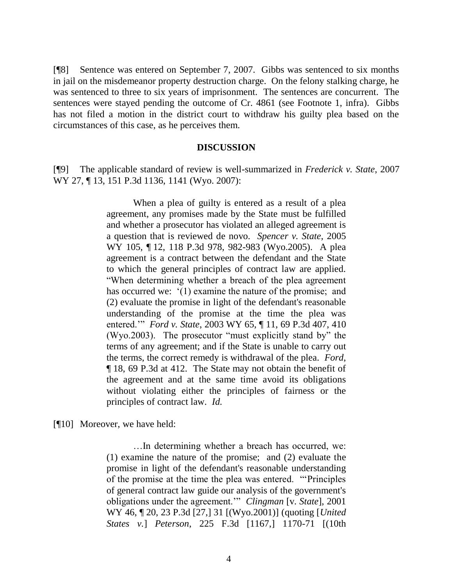[¶8] Sentence was entered on September 7, 2007. Gibbs was sentenced to six months in jail on the misdemeanor property destruction charge. On the felony stalking charge, he was sentenced to three to six years of imprisonment. The sentences are concurrent. The sentences were stayed pending the outcome of Cr. 4861 (see Footnote 1, infra). Gibbs has not filed a motion in the district court to withdraw his guilty plea based on the circumstances of this case, as he perceives them.

#### **DISCUSSION**

[¶9] The applicable standard of review is well-summarized in *Frederick v. State*, 2007 WY 27, ¶ 13, 151 P.3d 1136, 1141 (Wyo. 2007):

> When a plea of guilty is entered as a result of a plea agreement, any promises made by the State must be fulfilled and whether a prosecutor has violated an alleged agreement is a question that is reviewed de novo. *Spencer v. State*, 2005 WY 105, ¶ 12, 118 P.3d 978, 982-983 (Wyo.2005). A plea agreement is a contract between the defendant and the State to which the general principles of contract law are applied. "When determining whether a breach of the plea agreement has occurred we:  $(1)$  examine the nature of the promise; and (2) evaluate the promise in light of the defendant's reasonable understanding of the promise at the time the plea was entered."" *Ford v. State*, 2003 WY 65, ¶ 11, 69 P.3d 407, 410 (Wyo.2003). The prosecutor "must explicitly stand by" the terms of any agreement; and if the State is unable to carry out the terms, the correct remedy is withdrawal of the plea. *Ford*, ¶ 18, 69 P.3d at 412. The State may not obtain the benefit of the agreement and at the same time avoid its obligations without violating either the principles of fairness or the principles of contract law. *Id*.

[¶10] Moreover, we have held:

…In determining whether a breach has occurred, we: (1) examine the nature of the promise; and (2) evaluate the promise in light of the defendant's reasonable understanding of the promise at the time the plea was entered. ""Principles of general contract law guide our analysis of the government's obligations under the agreement."" *Clingman* [v. *State*], 2001 WY 46, ¶ 20, 23 P.3d [27,] 31 [(Wyo.2001)] (quoting [*United States v.*] *Peterson*, 225 F.3d [1167,] 1170-71 [(10th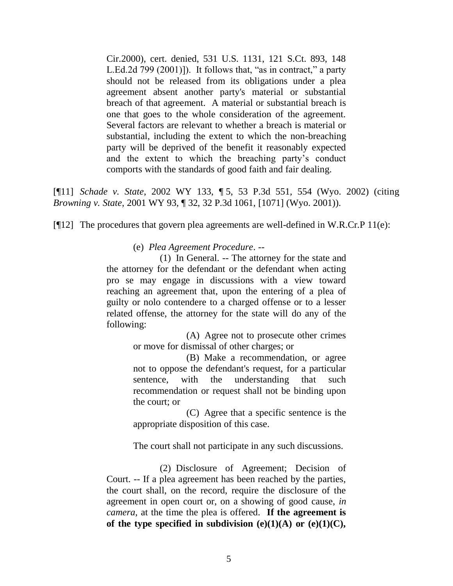Cir.2000), cert. denied, 531 U.S. 1131, 121 S.Ct. 893, 148 L.Ed.2d 799 (2001)]). It follows that, "as in contract," a party should not be released from its obligations under a plea agreement absent another party's material or substantial breach of that agreement. A material or substantial breach is one that goes to the whole consideration of the agreement. Several factors are relevant to whether a breach is material or substantial, including the extent to which the non-breaching party will be deprived of the benefit it reasonably expected and the extent to which the breaching party"s conduct comports with the standards of good faith and fair dealing.

[¶11] *Schade v. State*, 2002 WY 133, ¶ 5, 53 P.3d 551, 554 (Wyo. 2002) (citing *Browning v. State*, 2001 WY 93, ¶ 32, 32 P.3d 1061, [1071] (Wyo. 2001)).

[¶12] The procedures that govern plea agreements are well-defined in W.R.Cr.P 11(e):

(e) *Plea Agreement Procedure*. --

(1) In General. -- The attorney for the state and the attorney for the defendant or the defendant when acting pro se may engage in discussions with a view toward reaching an agreement that, upon the entering of a plea of guilty or nolo contendere to a charged offense or to a lesser related offense, the attorney for the state will do any of the following:

> (A) Agree not to prosecute other crimes or move for dismissal of other charges; or

> (B) Make a recommendation, or agree not to oppose the defendant's request, for a particular sentence, with the understanding that such recommendation or request shall not be binding upon the court; or

> (C) Agree that a specific sentence is the appropriate disposition of this case.

The court shall not participate in any such discussions.

(2) Disclosure of Agreement; Decision of Court. -- If a plea agreement has been reached by the parties, the court shall, on the record, require the disclosure of the agreement in open court or, on a showing of good cause, *in camera*, at the time the plea is offered. **If the agreement is**  of the type specified in subdivision  $(e)(1)(A)$  or  $(e)(1)(C)$ ,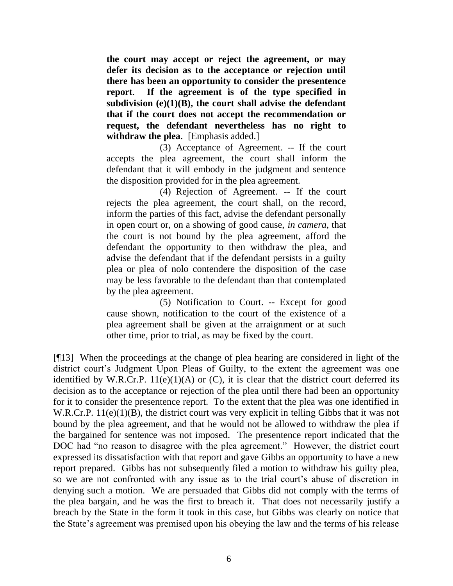**the court may accept or reject the agreement, or may defer its decision as to the acceptance or rejection until there has been an opportunity to consider the presentence report**. **If the agreement is of the type specified in subdivision (e)(1)(B), the court shall advise the defendant that if the court does not accept the recommendation or request, the defendant nevertheless has no right to withdraw the plea**. [Emphasis added.]

(3) Acceptance of Agreement. -- If the court accepts the plea agreement, the court shall inform the defendant that it will embody in the judgment and sentence the disposition provided for in the plea agreement.

(4) Rejection of Agreement. -- If the court rejects the plea agreement, the court shall, on the record, inform the parties of this fact, advise the defendant personally in open court or, on a showing of good cause, *in camera*, that the court is not bound by the plea agreement, afford the defendant the opportunity to then withdraw the plea, and advise the defendant that if the defendant persists in a guilty plea or plea of nolo contendere the disposition of the case may be less favorable to the defendant than that contemplated by the plea agreement.

(5) Notification to Court. -- Except for good cause shown, notification to the court of the existence of a plea agreement shall be given at the arraignment or at such other time, prior to trial, as may be fixed by the court.

[¶13] When the proceedings at the change of plea hearing are considered in light of the district court's Judgment Upon Pleas of Guilty, to the extent the agreement was one identified by W.R.Cr.P.  $11(e)(1)(A)$  or  $(C)$ , it is clear that the district court deferred its decision as to the acceptance or rejection of the plea until there had been an opportunity for it to consider the presentence report. To the extent that the plea was one identified in W.R.Cr.P. 11(e)(1)(B), the district court was very explicit in telling Gibbs that it was not bound by the plea agreement, and that he would not be allowed to withdraw the plea if the bargained for sentence was not imposed. The presentence report indicated that the DOC had "no reason to disagree with the plea agreement." However, the district court expressed its dissatisfaction with that report and gave Gibbs an opportunity to have a new report prepared. Gibbs has not subsequently filed a motion to withdraw his guilty plea, so we are not confronted with any issue as to the trial court's abuse of discretion in denying such a motion. We are persuaded that Gibbs did not comply with the terms of the plea bargain, and he was the first to breach it. That does not necessarily justify a breach by the State in the form it took in this case, but Gibbs was clearly on notice that the State"s agreement was premised upon his obeying the law and the terms of his release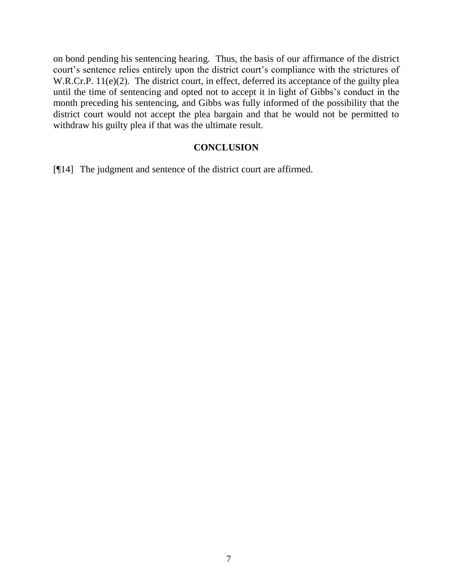on bond pending his sentencing hearing. Thus, the basis of our affirmance of the district court's sentence relies entirely upon the district court's compliance with the strictures of W.R.Cr.P. 11(e)(2). The district court, in effect, deferred its acceptance of the guilty plea until the time of sentencing and opted not to accept it in light of Gibbs"s conduct in the month preceding his sentencing, and Gibbs was fully informed of the possibility that the district court would not accept the plea bargain and that he would not be permitted to withdraw his guilty plea if that was the ultimate result.

## **CONCLUSION**

[¶14] The judgment and sentence of the district court are affirmed.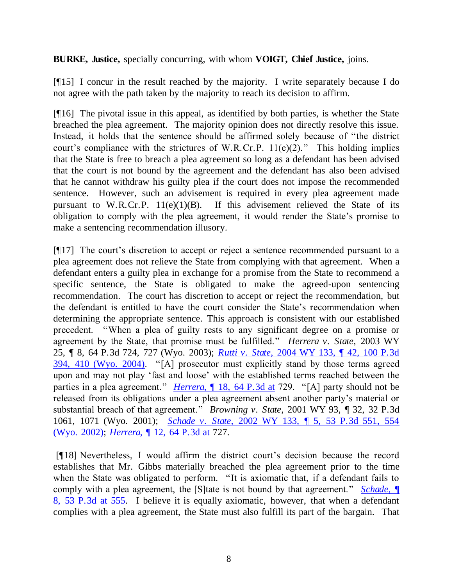**BURKE, Justice,** specially concurring, with whom **VOIGT, Chief Justice,** joins.

[¶15] I concur in the result reached by the majority. I write separately because I do not agree with the path taken by the majority to reach its decision to affirm.

[¶16] The pivotal issue in this appeal, as identified by both parties, is whether the State breached the plea agreement. The majority opinion does not directly resolve this issue. Instead, it holds that the sentence should be affirmed solely because of "the district court's compliance with the strictures of W.R.Cr.P.  $11(e)(2)$ ." This holding implies that the State is free to breach a plea agreement so long as a defendant has been advised that the court is not bound by the agreement and the defendant has also been advised that he cannot withdraw his guilty plea if the court does not impose the recommended sentence. However, such an advisement is required in every plea agreement made pursuant to W.R.Cr.P.  $11(e)(1)(B)$ . If this advisement relieved the State of its obligation to comply with the plea agreement, it would render the State"s promise to make a sentencing recommendation illusory.

 $[917]$  The court's discretion to accept or reject a sentence recommended pursuant to a plea agreement does not relieve the State from complying with that agreement. When a defendant enters a guilty plea in exchange for a promise from the State to recommend a specific sentence, the State is obligated to make the agreed-upon sentencing recommendation. The court has discretion to accept or reject the recommendation, but the defendant is entitled to have the court consider the State"s recommendation when determining the appropriate sentence. This approach is consistent with our established precedent. "When a plea of guilty rests to any significant degree on a promise or agreement by the State, that promise must be fulfilled." *Herrera v. State*, 2003 WY 25, ¶ 8, 64 P.3d 724, 727 (Wyo. 2003); *Rutti v. State*[, 2004 WY 133, ¶ 42, 100 P.3d](http://www.lexis.com/research/xlink?app=00075&view=full&searchtype=get&search=2004+WY+133%2C+P41)  [394, 410 \(Wyo. 2004\).](http://www.lexis.com/research/xlink?app=00075&view=full&searchtype=get&search=2004+WY+133%2C+P41) "[A] prosecutor must explicitly stand by those terms agreed upon and may not play "fast and loose" with the established terms reached between the parties in a plea agreement." *Herrera*, 18, 64 P.3d at 729. "[A] party should not be released from its obligations under a plea agreement absent another party"s material or substantial breach of that agreement." *Browning v. State*, 2001 WY 93, ¶ 32, 32 P.3d 1061, 1071 (Wyo. 2001); *Schade v. State*[, 2002 WY 133, ¶ 5, 53 P.3d 551, 554](http://www.lexis.com/research/xlink?app=00075&view=full&searchtype=get&search=2002+WY+133%2C+P5)  [\(Wyo. 2002\);](http://www.lexis.com/research/xlink?app=00075&view=full&searchtype=get&search=2002+WY+133%2C+P5) *Herrera*[, ¶ 12, 64 P.3d at](http://www.lexis.com/research/xlink?app=00075&view=full&searchtype=get&search=2003+WY+25%2C+P12) 727.

[¶18] Nevertheless, I would affirm the district court"s decision because the record establishes that Mr. Gibbs materially breached the plea agreement prior to the time when the State was obligated to perform. "It is axiomatic that, if a defendant fails to comply with a plea agreement, the [S]tate is not bound by that agreement." *[Schade](http://www.lexis.com/research/xlink?app=00075&view=full&searchtype=get&search=2002+WY+133%2C+P8)*, ¶ [8, 53 P.3d at 555.](http://www.lexis.com/research/xlink?app=00075&view=full&searchtype=get&search=2002+WY+133%2C+P8) I believe it is equally axiomatic, however, that when a defendant complies with a plea agreement, the State must also fulfill its part of the bargain. That